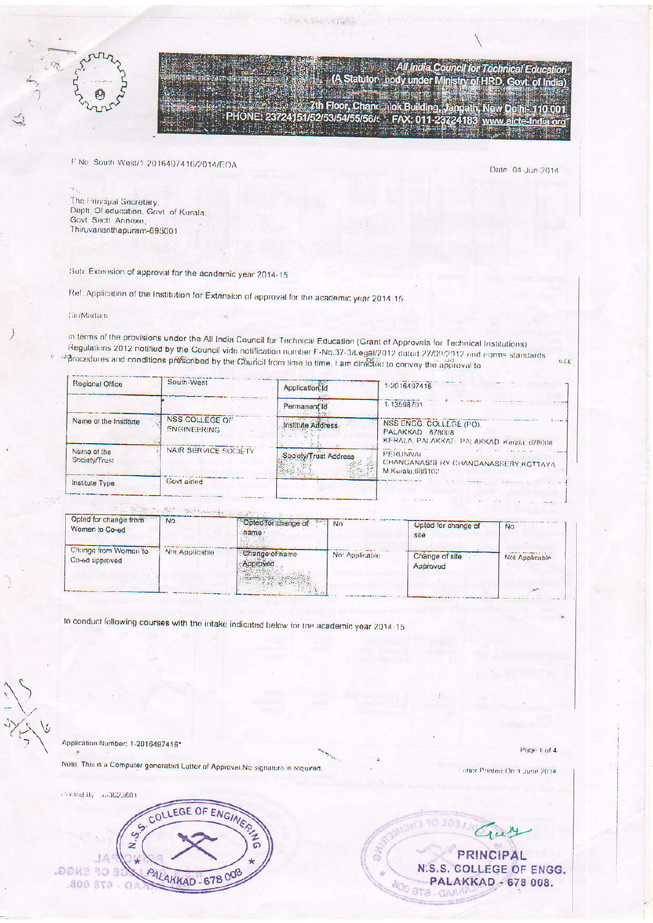F.No. South West/1-2016497416/2014/EOA

Date 04-Jun-2014

All India Council for Technical Education<br>Statutor, Lody under Ministry of HRD, Govt. of India)

The Principal Secretary,<br>Depti. Of education, Govt. of Kerala, Govt Sectt Annexe, Thiruvarianthapuram-695001

Sub. Extension of approval for the academic year 2014-15

Ref: Application of the Institution for Extension of approval for the academic year 2014-15

## Sin/Madain,

Ý,

In terms of the provisions under the All India Council for Technical Education (Grant of Approvals for Technical Institutions) Regulations 2012 notified by the Council vide notification number F-No.37-3/Legal/2012 dated 27/09/2012 and norms standards procedures and conditions prescribed by the Council from time to time. I am directed to convey the approval to  $ac$ 

The Assistantists

 $(A)$ 

7th Floor, Chancelok Building, Janpath, New Delhi- 110 001<br>PHONE: 23724151/52/53/54/55/56/c FAX: 011-23724183 www.aicte-India.org

| Regional Office              | South-West                                  | Application Id        | 1-2016497416                                                                                                 |  |  |  |  |
|------------------------------|---------------------------------------------|-----------------------|--------------------------------------------------------------------------------------------------------------|--|--|--|--|
|                              |                                             | Permanent Id          | 1-13598791                                                                                                   |  |  |  |  |
| Name of the Institute        | <b>NSS COLLEGE OF</b><br><b>ENGINEERING</b> | Institute Address     | $-11 - 1$<br>NSS ENGG. COLLEGE (PO).<br><b>PALAKKAD 678008</b><br>KERALA, PALAKKAT: PALAKKAD, Keraia, 678008 |  |  |  |  |
| Name of the<br>Society/Trust | NAIR SERVICE SOCIETY                        | Society/Trust Address | PERUNNAL<br>CHANGANASSERY CHANGANASSERY KOTTAYA<br>M.Kurala,686102                                           |  |  |  |  |
| Institute Type               | Govt aided                                  |                       |                                                                                                              |  |  |  |  |

and the continuing and the

| Opted for change from<br>Women to Co-ed | <b>No</b>      | Opted for change of<br><b>STATISTICS</b><br>name | <b>No</b>      | Opted for change of<br>sile | <b>No</b>      |
|-----------------------------------------|----------------|--------------------------------------------------|----------------|-----------------------------|----------------|
| Change from Women'to<br>Co-ed approved  | Not Applicable | Change of name<br>Approved                       | Not Applicable | Change of site<br>Approved  | Not Applicable |
|                                         |                |                                                  |                |                             |                |

to conduct following courses with the intake indicated below for the academic year 2014-15

Application Number: 1-2016497416\*

Note. This is a Computer generated Letter of Approval.No signature is required

Page 1 of 4

Letter Printed On:4 June 2014



**PRINCIPAL** N.S.S. COLLEGE OF ENGG. PALAKKAD - 678 008. 600 STO-CA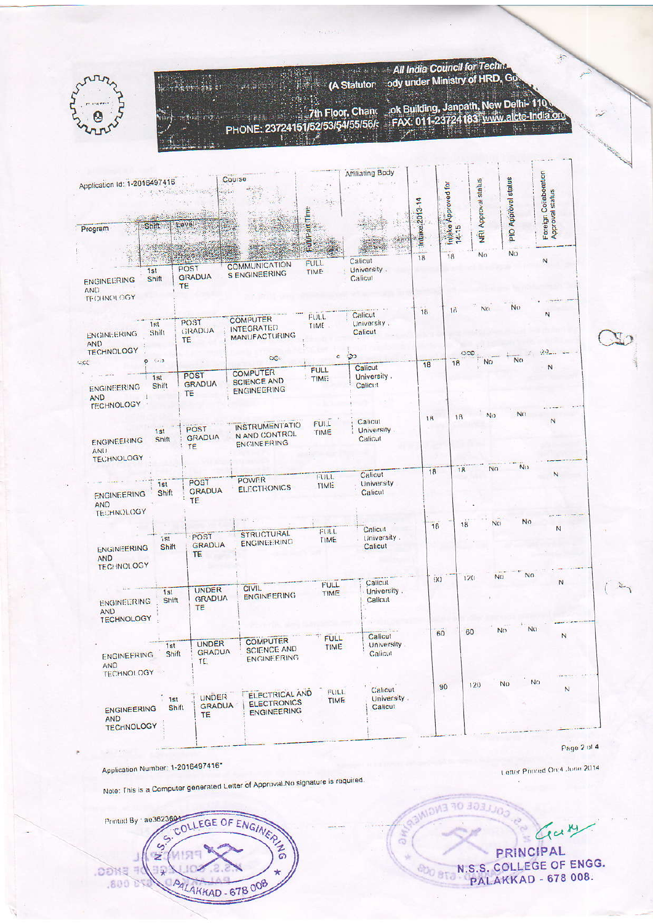|                                                                            |                                   |                                     |                                                                    |                            | <b>All India Council for Technal</b><br>(A Statutor: cody under Ministry of HRD, Go |                    |                               |                           |                                                                              |                                          |  |
|----------------------------------------------------------------------------|-----------------------------------|-------------------------------------|--------------------------------------------------------------------|----------------------------|-------------------------------------------------------------------------------------|--------------------|-------------------------------|---------------------------|------------------------------------------------------------------------------|------------------------------------------|--|
|                                                                            |                                   |                                     | PHONE: 23724151/52/53/54/55/56/:                                   | .7th Floor, Chand          |                                                                                     |                    |                               |                           | ok Building, Janpath, New Delhi-110<br>FAX: 011-23724183 www.alcte-India.org |                                          |  |
| Application Id: 1-2016497416<br><b>Shift</b><br>Program                    |                                   | Course<br>travel                    |                                                                    | $\mathcal{L}(\mathbf{r})$  | <b>Affiliating Body</b>                                                             | ke:2013-14<br>lnia | ntake Approved for<br>S<br>18 | NRI Approval status<br>No | PIO Approval status<br><b>No</b>                                             | Foreign Coilaboration<br>Approval status |  |
| 1st<br><b>ENGINEERING</b><br><b>AND</b><br><b>TECHNOLOGY</b>               | Shift                             | POST<br><b>GRADUA</b><br><b>TE</b>  | <b>COMMUNICATION</b><br><b>S ENGINEERING</b>                       | FULL.<br><b>TIME</b>       | Calicut<br>University.<br>Calicut                                                   | 18                 |                               |                           |                                                                              | N                                        |  |
| ENGINEERING<br><b>AND</b><br><b>TECHNOLOGY</b>                             | 1st<br>Shift                      | POST<br><b>AUGASE</b><br><b>TE</b>  | <b>COMPUTER</b><br><b>INTEGRATED</b><br><b>MANUFACTURING</b>       | FULL.<br>TIME              | Calicut<br>University,<br>Calicut                                                   | 18                 | 18                            | No.                       | No.                                                                          | N                                        |  |
| <b>ENGINEERING</b><br><b>AND</b><br>$\pm$                                  | 0.002<br>1st<br>Shift             | <b>POST</b><br><b>GRADUA</b><br>TE  | OC.<br><b>COMPUTER</b><br><b>SCIENCE AND</b><br><b>ENGINEERING</b> | <b>FULL</b><br><b>TIME</b> | ು<br>Calicut<br>University.<br>Calicut                                              | 18                 | 18                            | No.                       | No.                                                                          | N                                        |  |
| <b>TECHNOLOGY</b><br><b>ENGINEERING</b><br><b>ANU</b><br><b>TECHNOLOGY</b> | 1st<br>Shift                      | POST<br><b>GRADUA</b><br>TE         | <b>INSTRUMENTATIO</b><br>N AND CONTROL<br>ENGINEERING              | FULL <sub></sub><br>TIME   | Calicut<br>University.<br>Calicut                                                   | 18                 | 18                            | No.                       | No.                                                                          |                                          |  |
| <b>ENGINEERING</b><br><b>AND</b><br>TECHNOLOGY                             | 1st<br>Shift                      | POST<br><b>GRADUA</b><br><b>TE</b>  | <b>POWER</b><br><b>ELECTRONICS</b>                                 | FULL.<br>TIME              | Calicut<br>University<br>Calicut                                                    | 18                 | 18                            | No.                       | No.                                                                          | N                                        |  |
| ENGINEERING<br><b>AND</b><br><b>TECHNOLOGY</b>                             | 151<br>Shift                      | POST<br><b>GRADUA</b><br>TE.        | <b>STRUCTURAL</b><br>ENGINEERING                                   | FULL.<br>TIME              | Calicul<br>University.<br>Calicut                                                   | 18                 | 18                            | N()                       | No.                                                                          | N                                        |  |
| <b>ENGINEERING</b><br><b>AND</b><br><b>TECHNOLOGY</b>                      | 1st<br>Shift                      | UNDER<br>GRADUA<br><b>TE</b>        | CIVIL.<br><b>ENGINEERING</b>                                       | <b>FULL</b><br><b>TIME</b> | Calicut<br>University.<br>Calicut                                                   | 90                 | 120                           | NO <sub>1</sub>           | No                                                                           | $\mathbb{N}$                             |  |
| ENGINEERING<br><b>AND</b><br>TECHNOLOGY                                    | 1st<br>Shift                      | UNDER<br><b>GRADUA</b><br>TE.       | <b>COMPUTER</b><br><b>SCIENCE AND</b><br><b>ENGINEERING</b>        | <b>FULL</b><br>TIME        | Calicut<br>University.<br>Calicut                                                   | 60                 | 60                            | No.                       | No.                                                                          | N                                        |  |
| <b>ENGINEERING</b><br><b>AND</b>                                           | 1st<br>Shift<br><b>TECHNOLOGY</b> | <b>UNDER</b><br>GRADUA<br><b>TE</b> | <b>ELECTRICAL AND</b><br><b>ELECTRONICS</b><br><b>ENGINEERING</b>  | FULL.<br><b>TIME</b>       | Calicut<br>University.<br>Calicut                                                   | 90                 | 120                           | Nω                        | No                                                                           | Z                                        |  |

Application Number: 1-2016497416\*

Note: This is a Computer generated Letter of Approval.No signature is required.

COLLEGE OF ENGINERS Printed By 1 ae3623604 J.S.S.  $\overline{z}$ **PENSS.** ᆽ ANLAKKAD - 678 008  $.800B$ Wi

Gary PRINCIPAL **ODD BTO N.S.S. COLLEGE OF ENGG. PALAKKAD - 678 008.** 

OLLEGE OF ENGINER

am.

Letter Printed On:4 June 2014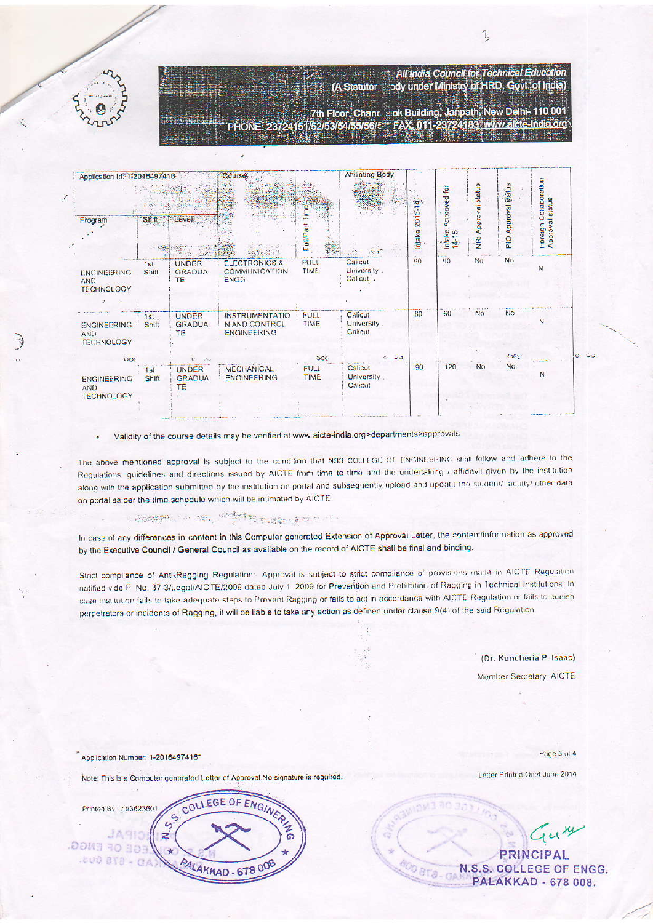

**AND** 

**TECHNOLOGY** 

|                                                |              |                                      | PHONE: 23724151/52/53/54/55/56/f FAX: 011-23724183 www.aicte-India.org |                                  | 7th Floor, Chand Jok Building, Janpath, New Delhi-110 001 |    |                    |                 |                                                     |                        |                                          |
|------------------------------------------------|--------------|--------------------------------------|------------------------------------------------------------------------|----------------------------------|-----------------------------------------------------------|----|--------------------|-----------------|-----------------------------------------------------|------------------------|------------------------------------------|
| Application Id: 1-2016497416                   |              |                                      | Course                                                                 |                                  | Affiliating Body                                          |    |                    | Approved for    | status                                              | <b>Approval status</b> |                                          |
| Program                                        | Shift        | Level                                |                                                                        | FullPar                          |                                                           |    | 2013-14<br>intake: | Intake<br>14-15 | Approval<br>$\frac{\tilde{\mathbf{p}}}{\mathbf{z}}$ | PIO                    | Foreign Collaboration<br>Approval status |
| ENGINEERING<br><b>AND</b><br><b>TECHNOLOGY</b> | 1st<br>Shift | <b>UNDER</b><br><b>GRADUA</b><br>TE. | <b>ELECTRONICS &amp;</b><br>COMMUNICATION<br><b>ENGG</b>               | FULL.<br>TIME.                   | Calicut<br>University.<br>Calicut.                        |    | $90 -$             | $90^{\circ}$    | N <sub>O</sub>                                      | N <sub>0</sub>         | N                                        |
| <b>ENGINEERING</b><br>AND<br><b>TECHNOLOGY</b> | 1st<br>Shift | <b>UNDER</b><br><b>GRADUA</b><br>TE. | <b>INSTRUMENTATIO</b><br>N AND CONTROL<br><b>ENGINEERING</b>           | FULL<br><b>TIME</b>              | Calicut<br>University.<br>Calicut                         |    | 60                 | 60              | <b>No</b>                                           | No                     | N                                        |
| OOC<br><b>ENGINEERING</b><br><b>AAID</b>       | 1st<br>Shift | <b>UNDER</b><br><b>GRADUA</b><br>TF  | <b>MECHANICAL</b><br><b>ENGINEERING</b>                                | $\overline{OC}$<br>FULL.<br>TIME | Calicut<br>University.<br>Calicut                         | 55 | 90                 | 120             | N <sub>O</sub>                                      | GC23<br>No.            | N                                        |

Validity of the course details may be verified at www.aicte-india.org>departments>approvals

The above mentioned approval is subject to the condition that NSS COLLEGE OF ENGINEERING shall follow and adhere to the Regulations, guidelines and directions issued by AICTE from time to time and the undertaking / affidavit given by the institution along with the application submitted by the institution on portal and subsequently upload and update the student/ faculty/ other data on portal as per the time schedule which will be intimated by AICTE.

## - Apartment of the second company of the first

In case of any differences in content in this Computer generated Extension of Approval Letter, the content/information as approved by the Executive Council / General Council as available on the record of AICTE shall be final and binding.

Strict compliance of Anti-Ragging Regulation: Approval is subject to strict compliance of provisions made in AICTE Regulation notified vide F. No. 37-3/Legal/AICTE/2009 dated July 1, 2009 for Prevention and Prohibition of Ragging in Technical Institutions. In case Institution fails to take adequate steps to Prevent Ragging or fails to act in accordance with AICTE Regulation or fails to punish perpetrators or incidents of Ragging, it will be liable to take any action as defined under clause 9(4) of the said Regulation

> (Dr. Kuncheria P. Isaac) Member Secretary, AICTE

 $\mathcal{L}_{\mathcal{L}_{\mathcal{L}}}$ 

All India Council for Technical Education ody under Ministry of HRD, Govt, of India)

Application Number: 1-2016497416\*

Note: This is a Computer generated Letter of Approval. No signature is required.

| ae3623601<br>Printed By | COLLEGE OF ENGIN       |
|-------------------------|------------------------|
|                         |                        |
| $\mathbb{R}$<br>59.WE   |                        |
| .800 BTA                | <b>AKKAD - 678 008</b> |
|                         |                        |

Page 3 of 4

Letter Printed On:4 June 2014

Guy **PRINCIPAL** N.S.S. COLLEGE OF ENGG. ľä **PALAKKAD - 678 008.**